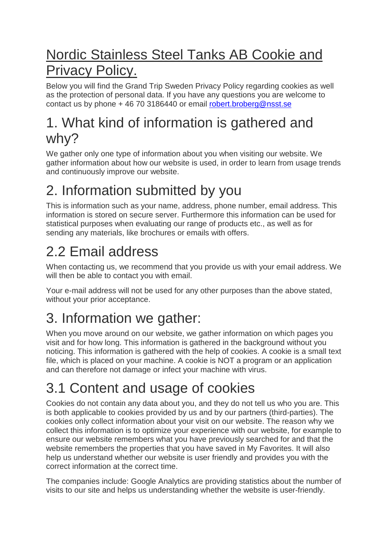## Nordic Stainless Steel Tanks AB Cookie and Privacy Policy.

Below you will find the Grand Trip Sweden Privacy Policy regarding cookies as well as the protection of personal data. If you have any questions you are welcome to contact us by phone + 46 70 3186440 or email [robert.broberg@nsst.se](mailto:robert.broberg@nsst.se)

### 1. What kind of information is gathered and why?

We gather only one type of information about you when visiting our website. We gather information about how our website is used, in order to learn from usage trends and continuously improve our website.

## 2. Information submitted by you

This is information such as your name, address, phone number, email address. This information is stored on secure server. Furthermore this information can be used for statistical purposes when evaluating our range of products etc., as well as for sending any materials, like brochures or emails with offers.

# 2.2 Email address

When contacting us, we recommend that you provide us with your email address. We will then be able to contact you with email.

Your e-mail address will not be used for any other purposes than the above stated, without your prior acceptance.

# 3. Information we gather:

When you move around on our website, we gather information on which pages you visit and for how long. This information is gathered in the background without you noticing. This information is gathered with the help of cookies. A cookie is a small text file, which is placed on your machine. A cookie is NOT a program or an application and can therefore not damage or infect your machine with virus.

# 3.1 Content and usage of cookies

Cookies do not contain any data about you, and they do not tell us who you are. This is both applicable to cookies provided by us and by our partners (third-parties). The cookies only collect information about your visit on our website. The reason why we collect this information is to optimize your experience with our website, for example to ensure our website remembers what you have previously searched for and that the website remembers the properties that you have saved in My Favorites. It will also help us understand whether our website is user friendly and provides you with the correct information at the correct time.

The companies include: Google Analytics are providing statistics about the number of visits to our site and helps us understanding whether the website is user-friendly.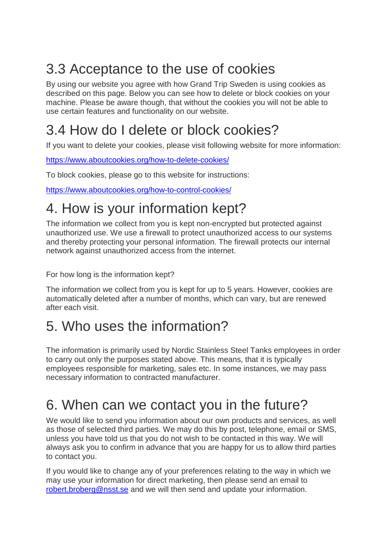## 3.3 Acceptance to the use of cookies

By using our website you agree with how Grand Trip Sweden is using cookies as described on this page. Below you can see how to delete or block cookies on your machine. Please be aware though, that without the cookies you will not be able to use certain features and functionality on our website.

### 3.4 How do I delete or block cookies?

If you want to delete your cookies, please visit following website for more information:

<https://www.aboutcookies.org/how-to-delete-cookies/>

To block cookies, please go to this website for instructions:

<https://www.aboutcookies.org/how-to-control-cookies/>

## 4. How is your information kept?

The information we collect from you is kept non-encrypted but protected against unauthorized use. We use a firewall to protect unauthorized access to our systems and thereby protecting your personal information. The firewall protects our internal network against unauthorized access from the internet.

For how long is the information kept?

The information we collect from you is kept for up to 5 years. However, cookies are automatically deleted after a number of months, which can vary, but are renewed after each visit.

### 5. Who uses the information?

The information is primarily used by Nordic Stainless Steel Tanks employees in order to carry out only the purposes stated above. This means, that it is typically employees responsible for marketing, sales etc. In some instances, we may pass necessary information to contracted manufacturer.

## 6. When can we contact you in the future?

We would like to send you information about our own products and services, as well as those of selected third parties. We may do this by post, telephone, email or SMS, unless you have told us that you do not wish to be contacted in this way. We will always ask you to confirm in advance that you are happy for us to allow third parties to contact you.

If you would like to change any of your preferences relating to the way in which we may use your information for direct marketing, then please send an email to [robert.broberg@nsst.se](mailto:robert.broberg@nsst.se) and we will then send and update your information.